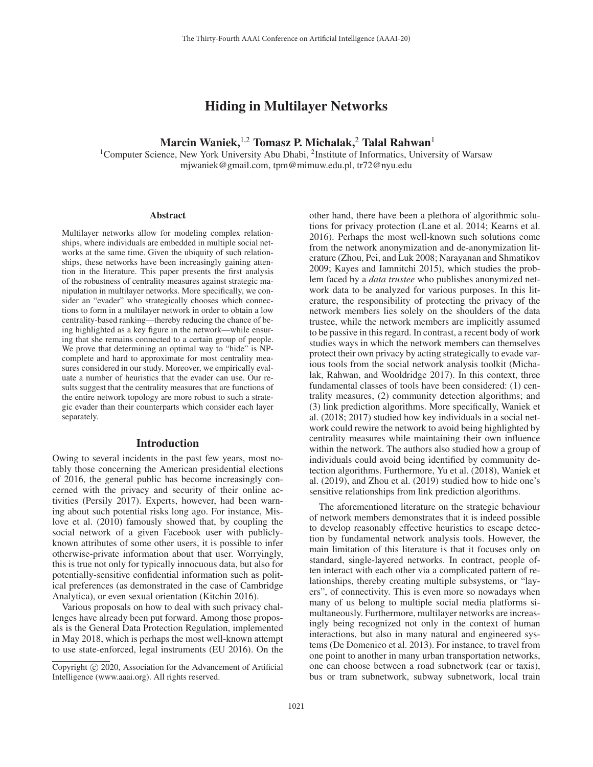## Hiding in Multilayer Networks

# Marcin Waniek,<sup>1,2</sup> Tomasz P. Michalak,<sup>2</sup> Talal Rahwan<sup>1</sup>

<sup>1</sup>Computer Science, New York University Abu Dhabi, <sup>2</sup>Institute of Informatics, University of Warsaw mjwaniek@gmail.com, tpm@mimuw.edu.pl, tr72@nyu.edu

### **Abstract**

Multilayer networks allow for modeling complex relationships, where individuals are embedded in multiple social networks at the same time. Given the ubiquity of such relationships, these networks have been increasingly gaining attention in the literature. This paper presents the first analysis of the robustness of centrality measures against strategic manipulation in multilayer networks. More specifically, we consider an "evader" who strategically chooses which connections to form in a multilayer network in order to obtain a low centrality-based ranking—thereby reducing the chance of being highlighted as a key figure in the network—while ensuring that she remains connected to a certain group of people. We prove that determining an optimal way to "hide" is NPcomplete and hard to approximate for most centrality measures considered in our study. Moreover, we empirically evaluate a number of heuristics that the evader can use. Our results suggest that the centrality measures that are functions of the entire network topology are more robust to such a strategic evader than their counterparts which consider each layer separately.

### Introduction

Owing to several incidents in the past few years, most notably those concerning the American presidential elections of 2016, the general public has become increasingly concerned with the privacy and security of their online activities (Persily 2017). Experts, however, had been warning about such potential risks long ago. For instance, Mislove et al. (2010) famously showed that, by coupling the social network of a given Facebook user with publiclyknown attributes of some other users, it is possible to infer otherwise-private information about that user. Worryingly, this is true not only for typically innocuous data, but also for potentially-sensitive confidential information such as political preferences (as demonstrated in the case of Cambridge Analytica), or even sexual orientation (Kitchin 2016).

Various proposals on how to deal with such privacy challenges have already been put forward. Among those proposals is the General Data Protection Regulation, implemented in May 2018, which is perhaps the most well-known attempt to use state-enforced, legal instruments (EU 2016). On the other hand, there have been a plethora of algorithmic solutions for privacy protection (Lane et al. 2014; Kearns et al. 2016). Perhaps the most well-known such solutions come from the network anonymization and de-anonymization literature (Zhou, Pei, and Luk 2008; Narayanan and Shmatikov 2009; Kayes and Iamnitchi 2015), which studies the problem faced by a *data trustee* who publishes anonymized network data to be analyzed for various purposes. In this literature, the responsibility of protecting the privacy of the network members lies solely on the shoulders of the data trustee, while the network members are implicitly assumed to be passive in this regard. In contrast, a recent body of work studies ways in which the network members can themselves protect their own privacy by acting strategically to evade various tools from the social network analysis toolkit (Michalak, Rahwan, and Wooldridge 2017). In this context, three fundamental classes of tools have been considered: (1) centrality measures, (2) community detection algorithms; and (3) link prediction algorithms. More specifically, Waniek et al. (2018; 2017) studied how key individuals in a social network could rewire the network to avoid being highlighted by centrality measures while maintaining their own influence within the network. The authors also studied how a group of individuals could avoid being identified by community detection algorithms. Furthermore, Yu et al. (2018), Waniek et al. (2019), and Zhou et al. (2019) studied how to hide one's sensitive relationships from link prediction algorithms.

The aforementioned literature on the strategic behaviour of network members demonstrates that it is indeed possible to develop reasonably effective heuristics to escape detection by fundamental network analysis tools. However, the main limitation of this literature is that it focuses only on standard, single-layered networks. In contract, people often interact with each other via a complicated pattern of relationships, thereby creating multiple subsystems, or "layers", of connectivity. This is even more so nowadays when many of us belong to multiple social media platforms simultaneously. Furthermore, multilayer networks are increasingly being recognized not only in the context of human interactions, but also in many natural and engineered systems (De Domenico et al. 2013). For instance, to travel from one point to another in many urban transportation networks, one can choose between a road subnetwork (car or taxis), bus or tram subnetwork, subway subnetwork, local train

Copyright  $\odot$  2020, Association for the Advancement of Artificial Intelligence (www.aaai.org). All rights reserved.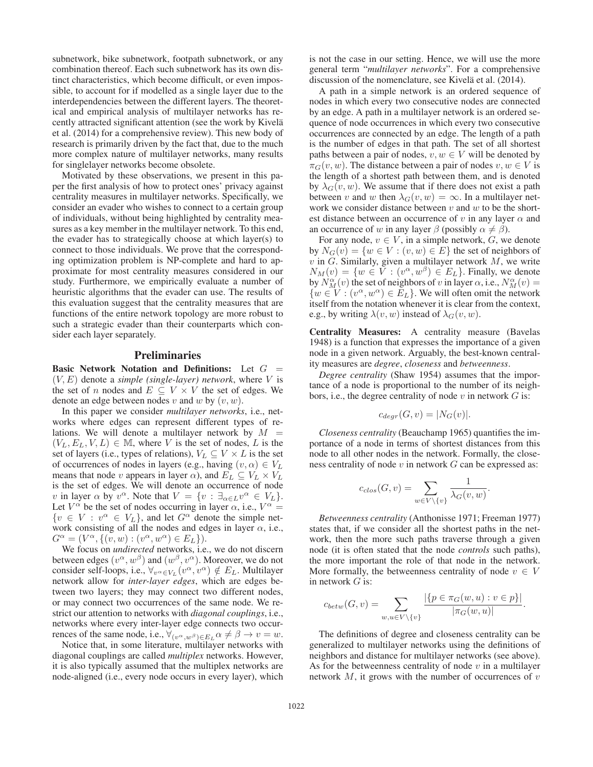subnetwork, bike subnetwork, footpath subnetwork, or any combination thereof. Each such subnetwork has its own distinct characteristics, which become difficult, or even impossible, to account for if modelled as a single layer due to the interdependencies between the different layers. The theoretical and empirical analysis of multilayer networks has recently attracted significant attention (see the work by Kivelä et al. (2014) for a comprehensive review). This new body of research is primarily driven by the fact that, due to the much more complex nature of multilayer networks, many results for singlelayer networks become obsolete.

Motivated by these observations, we present in this paper the first analysis of how to protect ones' privacy against centrality measures in multilayer networks. Specifically, we consider an evader who wishes to connect to a certain group of individuals, without being highlighted by centrality measures as a key member in the multilayer network. To this end, the evader has to strategically choose at which layer(s) to connect to those individuals. We prove that the corresponding optimization problem is NP-complete and hard to approximate for most centrality measures considered in our study. Furthermore, we empirically evaluate a number of heuristic algorithms that the evader can use. The results of this evaluation suggest that the centrality measures that are functions of the entire network topology are more robust to such a strategic evader than their counterparts which consider each layer separately.

### **Preliminaries**

Basic Network Notation and Definitions: Let  $G =$  $(V, E)$  denote a *simple (single-layer) network*, where V is the set of n nodes and  $E \subseteq V \times V$  the set of edges. We denote an edge between nodes v and w by  $(v, w)$ .

In this paper we consider *multilayer networks*, i.e., networks where edges can represent different types of relations. We will denote a multilayer network by  $M =$  $(V_L, E_L, V, L) \in \mathbb{M}$ , where V is the set of nodes, L is the set of layers (i.e., types of relations),  $V_L \subseteq V \times L$  is the set of occurrences of nodes in layers (e.g., having  $(v, \alpha) \in V_L$ means that node v appears in layer  $\alpha$ ), and  $E_L \subseteq V_L \times V_L$ is the set of edges. We will denote an occurrence of node v in layer  $\alpha$  by  $v^{\alpha}$ . Note that  $V = \{v : \exists_{\alpha \in L} v^{\alpha} \in V_L\}.$ Let  $V^{\alpha}$  be the set of nodes occurring in layer  $\alpha$ , i.e.,  $V^{\alpha}$  =  $\{v \in V : v^{\alpha} \in V_L\}$ , and let  $G^{\alpha}$  denote the simple network consisting of all the nodes and edges in layer  $\alpha$ , i.e.,  $G^{\alpha} = (V^{\alpha}, \{(v, w) : (v^{\alpha}, w^{\alpha}) \in E_L\}).$ <br>We focus on *undirected* networks i.e.

We focus on *undirected* networks, i.e., we do not discern between edges  $(v^{\alpha}, w^{\beta})$  and  $(w^{\beta}, v^{\alpha})$ . Moreover, we do not consider self-loops, i.e.,  $\forall_{v \in V_L} (v^{\alpha}, v^{\alpha}) \notin E_L$ . Multilayer network allow for *inter-layer edges*, which are edges between two layers; they may connect two different nodes, or may connect two occurrences of the same node. We restrict our attention to networks with *diagonal couplings*, i.e., networks where every inter-layer edge connects two occurrences of the same node, i.e.,  $\forall_{(v^{\alpha},w^{\beta})\in E_L} \alpha \neq \beta \rightarrow v = w$ .

Notice that, in some literature, multilayer networks with diagonal couplings are called *multiplex* networks. However, it is also typically assumed that the multiplex networks are node-aligned (i.e., every node occurs in every layer), which

is not the case in our setting. Hence, we will use the more general term "*multilayer networks*". For a comprehensive discussion of the nomenclature, see Kivelä et al. (2014).

A path in a simple network is an ordered sequence of nodes in which every two consecutive nodes are connected by an edge. A path in a multilayer network is an ordered sequence of node occurrences in which every two consecutive occurrences are connected by an edge. The length of a path is the number of edges in that path. The set of all shortest paths between a pair of nodes,  $v, w \in V$  will be denoted by  $\pi_G(v, w)$ . The distance between a pair of nodes  $v, w \in V$  is the length of a shortest path between them, and is denoted by  $\lambda_G(v, w)$ . We assume that if there does not exist a path between v and w then  $\lambda_G(v, w) = \infty$ . In a multilayer network we consider distance between  $v$  and  $w$  to be the shortest distance between an occurrence of v in any layer  $\alpha$  and an occurrence of w in any layer  $\beta$  (possibly  $\alpha \neq \beta$ ).

For any node,  $v \in V$ , in a simple network,  $G$ , we denote by  $N_G(v) = \{w \in V : (v, w) \in E\}$  the set of neighbors of  $v$  in  $G$ . Similarly, given a multilayer network  $M$ , we write  $N_M(v) = \{w \in V : (v^{\alpha}, w^{\beta}) \in E_L\}$ . Finally, we denote by  $\hat{N}_{M}^{\alpha}(v)$  the set of neighbors of v in layer  $\alpha$ , i.e.,  $N_{M}^{\alpha}(v) =$ <br> $\{w \in V : (v^{\alpha}, w^{\alpha}) \in F_{x}\}\)$  We will often omit the network  $\{w \in V : (v^{\alpha}, w^{\alpha}) \in E_L\}$ . We will often omit the network itself from the notation whenever it is clear from the context, e.g., by writing  $\lambda(v, w)$  instead of  $\lambda_G(v, w)$ .

Centrality Measures: A centrality measure (Bavelas 1948) is a function that expresses the importance of a given node in a given network. Arguably, the best-known centrality measures are *degree*, *closeness* and *betweenness*.

*Degree centrality* (Shaw 1954) assumes that the importance of a node is proportional to the number of its neighbors, i.e., the degree centrality of node  $v$  in network  $G$  is:

$$
c_{degr}(G, v) = |N_G(v)|.
$$

*Closeness centrality* (Beauchamp 1965) quantifies the importance of a node in terms of shortest distances from this node to all other nodes in the network. Formally, the closeness centrality of node  $v$  in network  $G$  can be expressed as:

$$
c_{clos}(G, v) = \sum_{w \in V \setminus \{v\}} \frac{1}{\lambda_G(v, w)}.
$$

*Betweenness centrality* (Anthonisse 1971; Freeman 1977) states that, if we consider all the shortest paths in the network, then the more such paths traverse through a given node (it is often stated that the node *controls* such paths), the more important the role of that node in the network. More formally, the betweenness centrality of node  $v \in V$ in network  $G$  is:

$$
c_{betw}(G, v) = \sum_{w, u \in V \setminus \{v\}} \frac{|\{p \in \pi_G(w, u) : v \in p\}|}{|\pi_G(w, u)|}.
$$

The definitions of degree and closeness centrality can be generalized to multilayer networks using the definitions of neighbors and distance for multilayer networks (see above). As for the betweenness centrality of node  $v$  in a multilayer network  $M$ , it grows with the number of occurrences of  $v$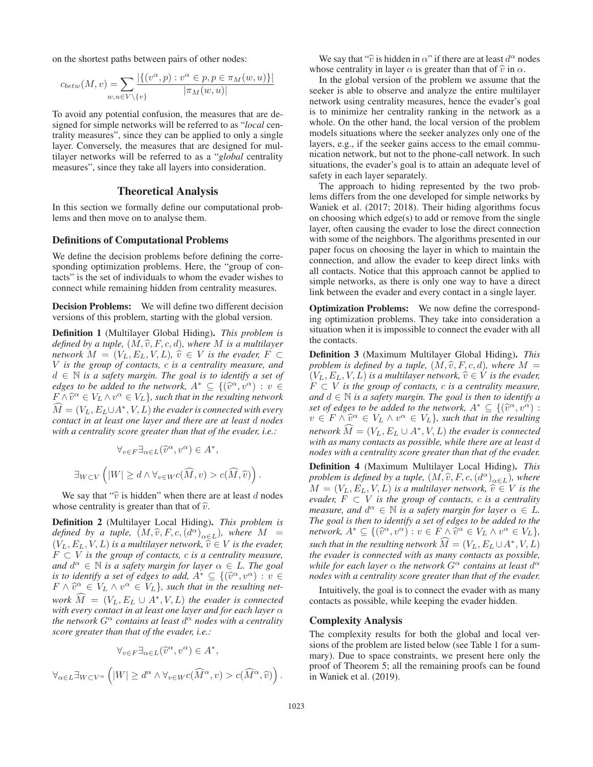on the shortest paths between pairs of other nodes:

$$
c_{betw}(M, v) = \sum_{w, u \in V \setminus \{v\}} \frac{|\{(v^{\alpha}, p) : v^{\alpha} \in p, p \in \pi_M(w, u)\}|}{|\pi_M(w, u)|}
$$

To avoid any potential confusion, the measures that are designed for simple networks will be referred to as "*local* centrality measures", since they can be applied to only a single layer. Conversely, the measures that are designed for multilayer networks will be referred to as a "*global* centrality measures", since they take all layers into consideration.

### Theoretical Analysis

In this section we formally define our computational problems and then move on to analyse them.

### Definitions of Computational Problems

We define the decision problems before defining the corresponding optimization problems. Here, the "group of contacts" is the set of individuals to whom the evader wishes to connect while remaining hidden from centrality measures.

**Decision Problems:** We will define two different decision versions of this problem, starting with the global version.

Definition 1 (Multilayer Global Hiding). *This problem is defined by a tuple,*  $(M, \hat{v}, F, c, d)$ *, where* M *is a multilayer network*  $M = (V_L, E_L, V, L)$ ,  $\hat{v} \in V$  *is the evader,*  $F \subset$ V *is the group of contacts,* c *is a centrality measure, and* d ∈ N *is a safety margin. The goal is to identify a set of edges to be added to the network,*  $A^* \subseteq \{(\hat{v}^\alpha, v^\alpha) : v \in$  $F \wedge \hat{v}^{\alpha} \in V_L \wedge v^{\alpha} \in V_L$ *}, such that in the resulting network*  $\widehat{M} = (V_L, E_L \cup A^*, V, L)$  the evader is connected with every contact in at least one layer and there are at least d nodes *contact in at least one layer and there are at least* d *nodes with a centrality score greater than that of the evader, i.e.:*

$$
\forall_{v \in F} \exists_{\alpha \in L} (\widehat{v}^{\alpha}, v^{\alpha}) \in A^*,
$$
  

$$
\exists_{W \subset V} ([W] \ge d \land \forall_{v \in W} c(\widehat{M}, v) > c(\widehat{M}, \widehat{v}))
$$

We say that " $\hat{v}$  is hidden" when there are at least d nodes whose centrality is greater than that of  $\hat{v}$ .

Definition 2 (Multilayer Local Hiding). *This problem is defined by a tuple,*  $(M, \hat{v}, F, c, (d^{\alpha})_{\alpha \in L})$ *, where*  $M =$  $(V_L, E_L, V, L)$  *is a multilayer network,*  $\hat{v} \in V$  *is the evader,*  $F \subset V$  *is the group of contacts, c is a centrality measure, and*  $d^{\alpha} \in \mathbb{N}$  *is a safety margin for layer*  $\alpha \in L$ *. The goal is to identify a set of edges to add,*  $A^* \subseteq \{(\hat{v}^\alpha, v^\alpha) : v \in$  $F \wedge \hat{v}^{\alpha} \in V_L \wedge v^{\alpha} \in V_L$ , such that in the resulting net*work*  $\widehat{M} = (V_L, E_L \cup A^*, V, L)$  *the evader is connected*<br>*with every contact in at least one layer and for each layer of with every contact in at least one layer and for each layer* α *the network*  $G^{\alpha}$  *contains at least*  $d^{\alpha}$  *nodes with a centrality score greater than that of the evader, i.e.:*

$$
\forall_{v \in F} \exists_{\alpha \in L} (\widehat{v}^{\alpha}, v^{\alpha}) \in A^*,
$$
  

$$
\forall_{\alpha \in L} \exists_{W \subset V^{\alpha}} \left( |W| \geq d^{\alpha} \land \forall_{v \in W} c(\widehat{M}^{\alpha}, v) > c(\widehat{M}^{\alpha}, \widehat{v}) \right).
$$

We say that " $\hat{v}$  is hidden in  $\alpha$ " if there are at least  $d^{\alpha}$  nodes whose centrality in layer  $\alpha$  is greater than that of  $\hat{v}$  in  $\alpha$ .

In the global version of the problem we assume that the seeker is able to observe and analyze the entire multilayer network using centrality measures, hence the evader's goal is to minimize her centrality ranking in the network as a whole. On the other hand, the local version of the problem models situations where the seeker analyzes only one of the layers, e.g., if the seeker gains access to the email communication network, but not to the phone-call network. In such situations, the evader's goal is to attain an adequate level of safety in each layer separately.

The approach to hiding represented by the two problems differs from the one developed for simple networks by Waniek et al. (2017; 2018). Their hiding algorithms focus on choosing which edge(s) to add or remove from the single layer, often causing the evader to lose the direct connection with some of the neighbors. The algorithms presented in our paper focus on choosing the layer in which to maintain the connection, and allow the evader to keep direct links with all contacts. Notice that this approach cannot be applied to simple networks, as there is only one way to have a direct link between the evader and every contact in a single layer.

Optimization Problems: We now define the corresponding optimization problems. They take into consideration a situation when it is impossible to connect the evader with all the contacts.

Definition 3 (Maximum Multilayer Global Hiding). *This problem is defined by a tuple,*  $(M, \hat{v}, F, c, d)$ *, where*  $M = (V_t, F_t, V, L)$  is a multilayer network  $\hat{v} \in V$  is the eyader  $(V_L, E_L, V, L)$  *is a multilayer network,*  $\hat{v} \in V$  *is the evader,*  $F \subset V$  *is the eroup of contacts c is a centrality measure*  $F \subset V$  *is the group of contacts, c is a centrality measure, and*  $d$  ∈  $\mathbb N$  *is a safety margin. The goal is then to identify a set of edges to be added to the network,*  $A^* \subseteq \{(\hat{v}^{\alpha}, v^{\alpha}) :$  $v \in F \wedge \hat{v}^{\alpha} \in V_L \wedge v^{\alpha} \in V_L$ *}, such that in the resulting*  $ne^*$  *M* =  $(V_L, E_L \cup A^*, V, L)$  *the evader is connected* with as many contacts as possible, while there are at least d *with as many contacts as possible, while there are at least* d *nodes with a centrality score greater than that of the evader.*

Definition 4 (Maximum Multilayer Local Hiding). *This problem is defined by a tuple,*  $(M, \hat{v}, F, c, (d^{\alpha})_{\alpha \in L})$ *, where*  $M = (V_L, E_L, V, L)$  *is a multilayer network,*  $\hat{v} \in V$  *is the evader,*  $F \subset V$  *is the group of contacts, c is a centrality measure, and*  $d^{\alpha} \in \mathbb{N}$  *is a safety margin for layer*  $\alpha \in L$ *. The goal is then to identify a set of edges to be added to the network,*  $A^* \subseteq \{(\widehat{v}^\alpha, v^\alpha): v \in F \land \widehat{v}^\alpha \in V_L \land v^\alpha \in V_L\},\$ *such that in the resulting network*  $\widehat{M} = (V_L, E_L \cup A^*, V, L)$ <br>*the evader is connected with as many contacts as possible the evader is connected with as many contacts as possible, while for each layer*  $\alpha$  *the network*  $G^{\alpha}$  *contains at least*  $d^{\alpha}$ *nodes with a centrality score greater than that of the evader.*

Intuitively, the goal is to connect the evader with as many contacts as possible, while keeping the evader hidden.

### Complexity Analysis

The complexity results for both the global and local versions of the problem are listed below (see Table 1 for a summary). Due to space constraints, we present here only the proof of Theorem 5; all the remaining proofs can be found in Waniek et al. (2019).

.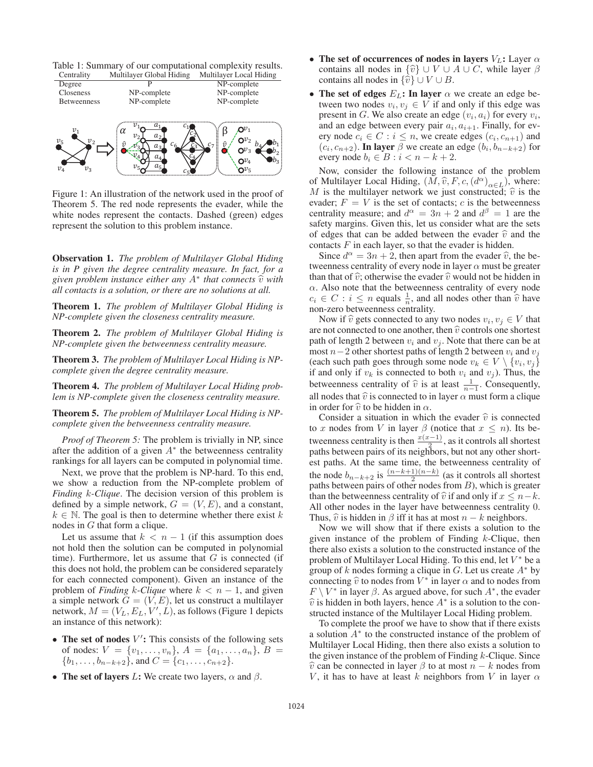Table 1: Summary of our computational complexity results.



Figure 1: An illustration of the network used in the proof of Theorem 5. The red node represents the evader, while the white nodes represent the contacts. Dashed (green) edges represent the solution to this problem instance.

Observation 1. *The problem of Multilayer Global Hiding is in P given the degree centrality measure. In fact, for a given problem instance either any*  $A^*$  *that connects*  $\hat{v}$  *with all contacts is a solution, or there are no solutions at all.*

Theorem 1. *The problem of Multilayer Global Hiding is NP-complete given the closeness centrality measure.*

Theorem 2. *The problem of Multilayer Global Hiding is NP-complete given the betweenness centrality measure.*

Theorem 3. *The problem of Multilayer Local Hiding is NPcomplete given the degree centrality measure.*

Theorem 4. *The problem of Multilayer Local Hiding problem is NP-complete given the closeness centrality measure.*

Theorem 5. *The problem of Multilayer Local Hiding is NPcomplete given the betweenness centrality measure.*

*Proof of Theorem 5:* The problem is trivially in NP, since after the addition of a given  $A^*$  the betweenness centrality rankings for all layers can be computed in polynomial time.

Next, we prove that the problem is NP-hard. To this end, we show a reduction from the NP-complete problem of *Finding* k*-Clique*. The decision version of this problem is defined by a simple network,  $G = (V, E)$ , and a constant,  $k \in \mathbb{N}$ . The goal is then to determine whether there exist k nodes in G that form a clique.

Let us assume that  $k < n - 1$  (if this assumption does not hold then the solution can be computed in polynomial time). Furthermore, let us assume that  $G$  is connected (if this does not hold, the problem can be considered separately for each connected component). Given an instance of the problem of *Finding* k-Clique where  $k < n - 1$ , and given a simple network  $G = (V, E)$ , let us construct a multilayer network,  $M = (V_L, E_L, V', \dot{L})$ , as follows (Figure 1 depicts an instance of this network): an instance of this network):

- $\bullet$  The set of nodes  $V'$ : This consists of the following sets of nodes:  $V = \{v_1, \ldots, v_n\}, A = \{a_1, \ldots, a_n\}, B = \{b_1, \ldots, b_{n-k+2}\}$  and  $C = \{c_1, \ldots, c_{n+2}\}$  $\{b_1, \ldots, b_{n-k+2}\}\$ , and  $C = \{c_1, \ldots, c_{n+2}\}\$ .
- The set of layers L: We create two layers,  $\alpha$  and  $\beta$ .
- The set of occurrences of nodes in layers  $V_L$ : Layer  $\alpha$ contains all nodes in  $\{\hat{v}\}\cup V\cup A\cup C$ , while layer  $\beta$ contains all nodes in  $\{\hat{v}\} \cup V \cup B$ .
- The set of edges  $E_L$ : In layer  $\alpha$  we create an edge between two nodes  $v_i, v_j \in V$  if and only if this edge was present in G. We also create an edge  $(v_i, a_i)$  for every  $v_i$ , and an edge between every pair  $a_i$ ,  $a_{i+1}$ . Finally, for every node  $c_i \in C : i \leq n$ , we create edges  $(c_i, c_{n+1})$  and  $(c_i, c_{n+2})$ . In layer  $\beta$  we create an edge  $(h, h_{n-k+2})$  for  $(c_i, c_{n+2})$ . In layer  $\beta$  we create an edge  $(b_i, b_{n-k+2})$  for every node  $b_i \in B : i < n-k+2$ every node  $b_i \in B : i < n - k + 2$ .

Now, consider the following instance of the problem of Multilayer Local Hiding,  $(M, \hat{v}, F, c, (d^{\alpha})_{\alpha \in L})$ , where: M is the multilayer network we just constructed;  $\hat{v}$  is the evader;  $F = V$  is the set of contacts; c is the betweenness centrality measure; and  $d^{\alpha} = 3n + 2$  and  $d^{\beta} = 1$  are the safety margins. Given this, let us consider what are the sets of edges that can be added between the evader  $\hat{v}$  and the contacts  $F$  in each layer, so that the evader is hidden.

Since  $d^{\alpha} = 3n + 2$ , then apart from the evader  $\hat{v}$ , the betweenness centrality of every node in layer  $\alpha$  must be greater than that of  $\hat{v}$ ; otherwise the evader  $\hat{v}$  would not be hidden in  $\alpha$ . Also note that the betweenness centrality of every node  $c_i \in C : i \leq n$  equals  $\frac{1}{n}$ , and all nodes other than  $\hat{v}$  have non-zero betweenness centrality non-zero betweenness centrality.

Now if  $\hat{v}$  gets connected to any two nodes  $v_i, v_j \in V$  that are not connected to one another, then  $\hat{v}$  controls one shortest path of length 2 between  $v_i$  and  $v_j$ . Note that there can be at most  $n-2$  other shortest paths of length 2 between  $v_i$  and  $v_j$ (each such path goes through some node  $v_k \in V \setminus \{v_i, v_j\}$ if and only if  $v_k$  is connected to both  $v_i$  and  $v_j$ ). Thus, the betweenness centrality of  $\hat{v}$  is at least  $\frac{1}{n-1}$ . Consequently, all nodes that  $\hat{v}$  is connected to in layer  $\alpha$  must form a clique in order for  $\hat{v}$  to be hidden in  $\alpha$ .

Consider a situation in which the evader  $\hat{v}$  is connected to x nodes from V in layer  $\beta$  (notice that  $x \leq n$ ). Its betweenness centrality is then  $\frac{x(x-1)}{x^2}$ , as it controls all shortest paths between pairs of its neighbors, but not any other shortest paths. At the same time, the betweenness centrality of the node  $b_{n-k+2}$  is  $\frac{(n-k+1)(n-k)}{2}$  (as it controls all shortest paths between pairs of other nodes from  $B$ ), which is greater than the betweenness centrality of  $\hat{v}$  if and only if  $x \leq n-k$ . All other nodes in the layer have betweenness centrality 0. Thus,  $\hat{v}$  is hidden in  $\beta$  iff it has at most  $n - k$  neighbors.

Now we will show that if there exists a solution to the given instance of the problem of Finding  $k$ -Clique, then there also exists a solution to the constructed instance of the problem of Multilayer Local Hiding. To this end, let  $V^*$  be a group of k nodes forming a clique in G. Let us create  $A^*$  by connecting  $\hat{v}$  to nodes from  $V^*$  in layer  $\alpha$  and to nodes from  $F \setminus V^*$  in layer  $\beta$ . As argued above, for such  $A^*$ , the evader  $\hat{v}$  is hidden in both layers, hence  $A^*$  is a solution to the constructed instance of the Multilayer Local Hiding problem.

To complete the proof we have to show that if there exists a solution A<sup>∗</sup> to the constructed instance of the problem of Multilayer Local Hiding, then there also exists a solution to the given instance of the problem of Finding  $k$ -Clique. Since  $\hat{v}$  can be connected in layer  $\beta$  to at most  $n - k$  nodes from V, it has to have at least k neighbors from V in layer  $\alpha$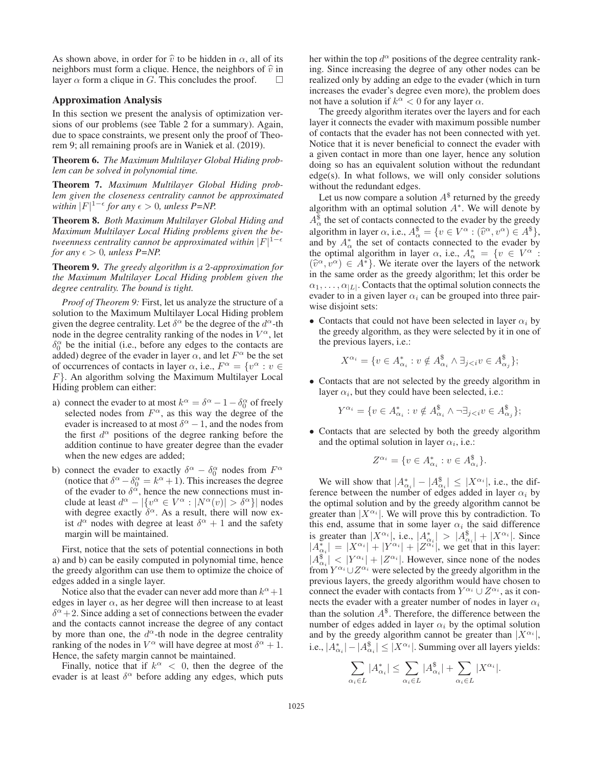As shown above, in order for  $\hat{v}$  to be hidden in  $\alpha$ , all of its neighbors must form a clique. Hence, the neighbors of  $\hat{v}$  in layer  $\alpha$  form a clique in G. This concludes the proof. layer  $\alpha$  form a clique in G. This concludes the proof.

### Approximation Analysis

In this section we present the analysis of optimization versions of our problems (see Table 2 for a summary). Again, due to space constraints, we present only the proof of Theorem 9; all remaining proofs are in Waniek et al. (2019).

Theorem 6. *The Maximum Multilayer Global Hiding problem can be solved in polynomial time.*

Theorem 7. *Maximum Multilayer Global Hiding problem given the closeness centrality cannot be approximated within*  $|F|^{1-\epsilon}$  *for any*  $\epsilon > 0$ *, unless P=NP.* 

Theorem 8. *Both Maximum Multilayer Global Hiding and Maximum Multilayer Local Hiding problems given the betweenness centrality cannot be approximated within* |F| 1− *for any*  $\epsilon > 0$ *, unless P=NP.* 

Theorem 9. *The greedy algorithm is a* 2*-approximation for the Maximum Multilayer Local Hiding problem given the degree centrality. The bound is tight.*

*Proof of Theorem 9:* First, let us analyze the structure of a solution to the Maximum Multilayer Local Hiding problem given the degree centrality. Let  $\delta^{\alpha}$  be the degree of the  $d^{\alpha}$ -th node in the degree centrality ranking of the nodes in  $V^{\alpha}$ , let  $\delta_0^{\alpha}$  be the initial (i.e., before any edges to the contacts are added) degree of the evader in layer  $\alpha$ , and let  $F^{\alpha}$  be the set of occurrences of contacts in layer  $\alpha$ , i.e.,  $F^{\alpha} = \{v^{\alpha} : v \in$  $F$ . An algorithm solving the Maximum Multilayer Local Hiding problem can either:

- a) connect the evader to at most  $k^{\alpha} = \delta^{\alpha} 1 \delta_0^{\alpha}$  of freely selected nodes from  $F^{\alpha}$  as this way the degree of the selected nodes from  $F^{\alpha}$ , as this way the degree of the evader is increased to at most  $\delta^{\alpha} - 1$ , and the nodes from the first  $d^{\alpha}$  positions of the degree ranking before the addition continue to have greater degree than the evader when the new edges are added;
- b) connect the evader to exactly  $\delta^{\alpha} \delta^{\alpha}_0$  nodes from  $F^{\alpha}$ (notice that  $\delta^{\alpha} - \delta^{\alpha}_{0} = k^{\alpha} + 1$ ). This increases the degree of the evader to  $\delta^{\alpha}$  hence the new connections must inof the evader to  $\delta^{\alpha}$ , hence the new connections must include at least  $d^{\alpha} - |\{v^{\alpha} \in V^{\alpha} : |N^{\alpha}(v)| > \delta^{\alpha}\}|$  nodes with degree exactly  $\delta^{\alpha}$ . As a result, there will now exist  $d^{\alpha}$  nodes with degree at least  $\delta^{\alpha} + 1$  and the safety margin will be maintained.

First, notice that the sets of potential connections in both a) and b) can be easily computed in polynomial time, hence the greedy algorithm can use them to optimize the choice of edges added in a single layer.

Notice also that the evader can never add more than  $k^{\alpha}+1$ edges in layer  $\alpha$ , as her degree will then increase to at least  $\delta^{\alpha}$ +2. Since adding a set of connections between the evader<br>and the contacts cannot increase the degree of any contact and the contacts cannot increase the degree of any contact by more than one, the  $d^{\alpha}$ -th node in the degree centrality ranking of the nodes in  $V^{\alpha}$  will have degree at most  $\delta^{\alpha} + 1$ . Hence, the safety margin cannot be maintained.

Finally, notice that if  $k^{\alpha} < 0$ , then the degree of the evader is at least  $\delta^{\alpha}$  before adding any edges, which puts her within the top  $d^{\alpha}$  positions of the degree centrality ranking. Since increasing the degree of any other nodes can be realized only by adding an edge to the evader (which in turn increases the evader's degree even more), the problem does not have a solution if  $k^{\alpha} < 0$  for any layer  $\alpha$ .

The greedy algorithm iterates over the layers and for each layer it connects the evader with maximum possible number of contacts that the evader has not been connected with yet. Notice that it is never beneficial to connect the evader with a given contact in more than one layer, hence any solution doing so has an equivalent solution without the redundant edge(s). In what follows, we will only consider solutions without the redundant edges.

Let us now compare a solution  $A^{\$}$  returned by the greedy algorithm with an optimal solution  $A^*$ . We will denote by  $A_{\alpha}^{\bar{\$}}$  the set of contacts connected to the evader by the greedy algorithm in layer  $\alpha$ , i.e.,  $A_{\alpha}^{*} = \{v \in V^{\alpha} : (\hat{v}^{\alpha}, v^{\alpha}) \in A^{*}\}\,$ , and by  $A_{\alpha}^{*}$  the set of contacts connected to the evader by the optimal algorithm in layer  $\alpha$ , i.e.,  $A^*_{\alpha} = \{v \in V^{\alpha} : \hat{\alpha} \in V^{\alpha} : \hat{\alpha} \in A^*\}$  We iterate over the layers of the network  $(\hat{v}^{\alpha}, v^{\alpha}) \in A^*$ . We iterate over the layers of the network in the same order as the greedy algorithm; let this order be  $\alpha_1, \ldots, \alpha_{|L|}$ . Contacts that the optimal solution connects the evader to in a given layer  $\alpha_i$  can be grouped into three pairwise disjoint sets:

• Contacts that could not have been selected in layer  $\alpha_i$  by the greedy algorithm, as they were selected by it in one of the previous layers, i.e.:

$$
X^{\alpha_i} = \{ v \in A^*_{\alpha_i} : v \notin A^{\$}_{\alpha_i} \land \exists_{j
$$

• Contacts that are not selected by the greedy algorithm in layer  $\alpha_i$ , but they could have been selected, i.e.:

$$
Y^{\alpha_i} = \{ v \in A^*_{\alpha_i} : v \notin A^{\$}_{\alpha_i} \land \neg \exists_{j < i} v \in A^{\$}_{\alpha_j} \};
$$

• Contacts that are selected by both the greedy algorithm and the optimal solution in layer  $\alpha_i$ , i.e.:

$$
Z^{\alpha_i} = \{ v \in A^*_{\alpha_i} : v \in A^*_{\alpha_i} \}.
$$

We will show that  $|A_{\alpha_i}^*| - |A_{\alpha_i}^*| \leq |X^{\alpha_i}|$ , i.e., the difference between the number of edges added in layer  $\alpha_i$  by the optimal solution and by the greedy algorithm cannot be greater than  $|X^{\alpha_i}|$ . We will prove this by contradiction. To this end, assume that in some layer  $\alpha_i$  the said difference is greater than  $|X^{\alpha_i}|$ , i.e.,  $|A_{\alpha_i}^*| > |A_{\alpha_i}^*| + |X^{\alpha_i}|$ . Since  $|A_{\alpha_i}^*| = |X^{\alpha_i}| + |Y^{\alpha_i}| + |Z^{\alpha_i}|$ , we get that in this layer:  $|A_{\alpha_i}^{\S} | < |Y^{\alpha_i}| + |Z^{\alpha_i}|$ . However, since none of the nodes from  $Y^{\alpha_i} | \, |Z^{\alpha_i}$  were selected by the greedy algorithm in the from  $Y^{\alpha_i} \cup Z^{\alpha_i}$  were selected by the greedy algorithm in the previous layers, the greedy algorithm would have chosen to connect the evader with contacts from  $Y^{\alpha_i} \cup Z^{\alpha_i}$ , as it connects the evader with a greater number of nodes in layer  $\alpha_i$ than the solution  $A^{\$}$ . Therefore, the difference between the number of edges added in layer  $\alpha_i$  by the optimal solution and by the greedy algorithm cannot be greater than  $|X^{\alpha_i}|$ , i.e.,  $|A^*_{\alpha_i}| - |A^{\$}_{\alpha_i}| \le |X^{\alpha_i}|$ . Summing over all layers yields:

$$
\sum_{\alpha_i \in L} |A_{\alpha_i}^*| \le \sum_{\alpha_i \in L} |A_{\alpha_i}^{\$}| + \sum_{\alpha_i \in L} |X^{\alpha_i}|.
$$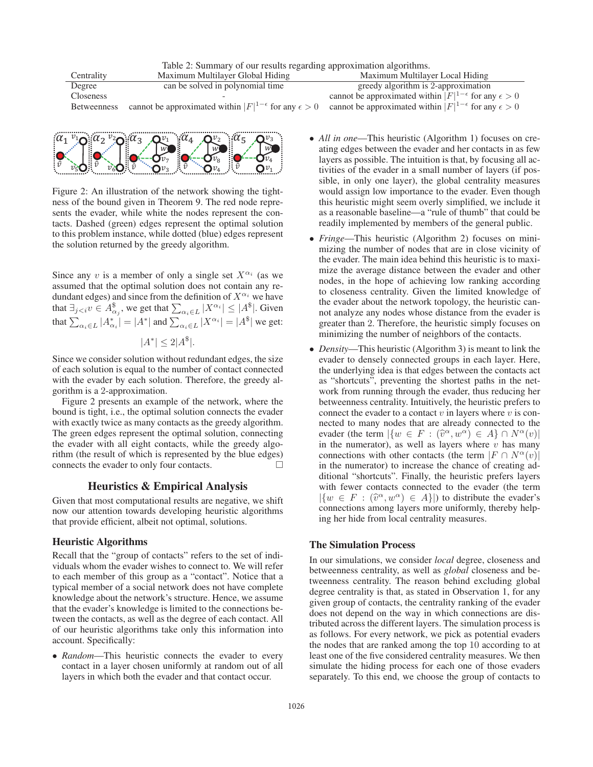Table 2: Summary of our results regarding approximation algorithms.

| Centrality         | Maximum Multilayer Global Hiding                                        | Maximum Multilayer Local Hiding                                         |
|--------------------|-------------------------------------------------------------------------|-------------------------------------------------------------------------|
| Degree             | can be solved in polynomial time                                        | greedy algorithm is 2-approximation                                     |
| <b>Closeness</b>   |                                                                         | cannot be approximated within $ F ^{1-\epsilon}$ for any $\epsilon > 0$ |
| <b>Betweenness</b> | cannot be approximated within $ F ^{1-\epsilon}$ for any $\epsilon > 0$ | cannot be approximated within $ F ^{1-\epsilon}$ for any $\epsilon > 0$ |
|                    |                                                                         |                                                                         |



Figure 2: An illustration of the network showing the tightness of the bound given in Theorem 9. The red node represents the evader, while white the nodes represent the contacts. Dashed (green) edges represent the optimal solution to this problem instance, while dotted (blue) edges represent the solution returned by the greedy algorithm.

Since any v is a member of only a single set  $X^{\alpha_i}$  (as we assumed that the optimal solution does not contain any redundant edges) and since from the definition of  $X^{\alpha_i}$  we have that  $\exists_{j < i} v \in A^{\$}_{\alpha_j}$ , we get that  $\sum_{\alpha_i \in L} |X^{\alpha_i}| \leq |A^{\$}|$ . Given that  $\sum_{\alpha_i \in L} |A_{\alpha_i}^*| = |A^*|$  and  $\sum_{\alpha_i \in L} |X^{\alpha_i}| = |A^*|$  we get:

 $|A^*| < 2|A^*|$ .

Since we consider solution without redundant edges, the size of each solution is equal to the number of contact connected with the evader by each solution. Therefore, the greedy algorithm is a 2-approximation.

Figure 2 presents an example of the network, where the bound is tight, i.e., the optimal solution connects the evader with exactly twice as many contacts as the greedy algorithm. The green edges represent the optimal solution, connecting the evader with all eight contacts, while the greedy algorithm (the result of which is represented by the blue edges) connects the evader to only four contacts.  $\Box$ 

### Heuristics & Empirical Analysis

Given that most computational results are negative, we shift now our attention towards developing heuristic algorithms that provide efficient, albeit not optimal, solutions.

### Heuristic Algorithms

Recall that the "group of contacts" refers to the set of individuals whom the evader wishes to connect to. We will refer to each member of this group as a "contact". Notice that a typical member of a social network does not have complete knowledge about the network's structure. Hence, we assume that the evader's knowledge is limited to the connections between the contacts, as well as the degree of each contact. All of our heuristic algorithms take only this information into account. Specifically:

• *Random*—This heuristic connects the evader to every contact in a layer chosen uniformly at random out of all layers in which both the evader and that contact occur.

- *All in one*—This heuristic (Algorithm 1) focuses on creating edges between the evader and her contacts in as few layers as possible. The intuition is that, by focusing all activities of the evader in a small number of layers (if possible, in only one layer), the global centrality measures would assign low importance to the evader. Even though this heuristic might seem overly simplified, we include it as a reasonable baseline—a "rule of thumb" that could be readily implemented by members of the general public.
- *Fringe*—This heuristic (Algorithm 2) focuses on minimizing the number of nodes that are in close vicinity of the evader. The main idea behind this heuristic is to maximize the average distance between the evader and other nodes, in the hope of achieving low ranking according to closeness centrality. Given the limited knowledge of the evader about the network topology, the heuristic cannot analyze any nodes whose distance from the evader is greater than 2. Therefore, the heuristic simply focuses on minimizing the number of neighbors of the contacts.
- *Density*—This heuristic (Algorithm 3) is meant to link the evader to densely connected groups in each layer. Here, the underlying idea is that edges between the contacts act as "shortcuts", preventing the shortest paths in the network from running through the evader, thus reducing her betweenness centrality. Intuitively, the heuristic prefers to connect the evader to a contact  $v$  in layers where  $v$  is connected to many nodes that are already connected to the evader (the term  $|\{w \in F : (\hat{v}^{\alpha}, w^{\alpha}) \in A\} \cap N^{\alpha}(v)|$ in the numerator), as well as layers where  $v$  has many connections with other contacts (the term  $|F \cap N^{\alpha}(v)|$ in the numerator) to increase the chance of creating additional "shortcuts". Finally, the heuristic prefers layers with fewer contacts connected to the evader (the term  $|\{w \in F : (\hat{v}^{\alpha}, w^{\alpha}) \in A\}|$  to distribute the evader's connections among layers more uniformly, thereby helping her hide from local centrality measures.

### The Simulation Process

In our simulations, we consider *local* degree, closeness and betweenness centrality, as well as *global* closeness and betweenness centrality. The reason behind excluding global degree centrality is that, as stated in Observation 1, for any given group of contacts, the centrality ranking of the evader does not depend on the way in which connections are distributed across the different layers. The simulation process is as follows. For every network, we pick as potential evaders the nodes that are ranked among the top 10 according to at least one of the five considered centrality measures. We then simulate the hiding process for each one of those evaders separately. To this end, we choose the group of contacts to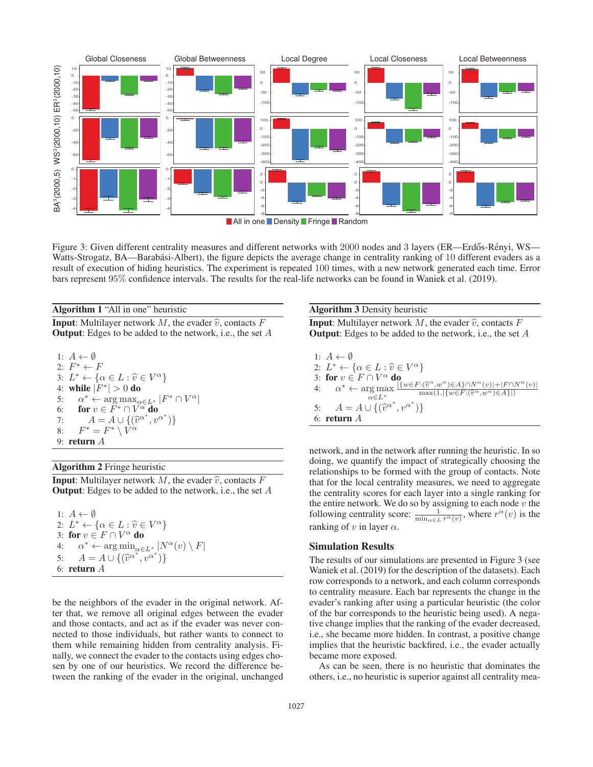

**All in one Density Fringe Random** 

Figure 3: Given different centrality measures and different networks with 2000 nodes and 3 layers (ER—Erdős-Rényi, WS— Watts-Strogatz, BA—Barabási-Albert), the figure depicts the average change in centrality ranking of 10 different evaders as a result of execution of hiding heuristics. The experiment is repeated 100 times, with a new network generated each time. Error bars represent 95% confidence intervals. The results for the real-life networks can be found in Waniek et al. (2019).

Algorithm 1 "All in one" heuristic

**Input:** Multilayer network  $M$ , the evader  $\hat{v}$ , contacts  $F$ **Output:** Edges to be added to the network, i.e., the set  $A$ 

1: 
$$
A \leftarrow \emptyset
$$
  
\n2:  $F^* \leftarrow F$   
\n3:  $L^* \leftarrow {\alpha \in L : \hat{v} \in V^{\alpha}}$   
\n4: **while**  $|F^*| > 0$  **do**  
\n5:  $\alpha^* \leftarrow \arg \max_{\alpha \in L^*} |F^* \cap V^{\alpha}|$   
\n6: **for**  $v \in F^* \cap V^{\alpha}$  **do**  
\n7:  $A = A \cup {\{\hat{v}^{\alpha^*}, v^{\alpha^*}\}}$   
\n8:  $F^* = F^* \setminus V^{\alpha}$   
\n9: **return** A

#### Algorithm 2 Fringe heuristic

**Input:** Multilayer network M, the evader  $\hat{v}$ , contacts F **Output:** Edges to be added to the network, i.e., the set  $A$ 

1:  $A \leftarrow \emptyset$ 2:  $L^* \leftarrow {\alpha \in L : \hat{\upsilon} \in V^{\alpha}}$ 3: for  $v \in F \cap V^{\alpha}$  do 4:  $\alpha^* \leftarrow \arg \min_{\alpha \in L^*} |N^{\alpha}(v) \setminus F|$ <br>5:  $A = A \cup \{ (\hat{v}^{\alpha^*}, v^{\alpha^*}) \}$ 5:  $A = A \cup \{(\hat{v}^{\alpha^*}, v^{\alpha^*})\}$ <br>6: **return** A 6: return A

be the neighbors of the evader in the original network. After that, we remove all original edges between the evader and those contacts, and act as if the evader was never connected to those individuals, but rather wants to connect to them while remaining hidden from centrality analysis. Finally, we connect the evader to the contacts using edges chosen by one of our heuristics. We record the difference between the ranking of the evader in the original, unchanged

### Algorithm 3 Density heuristic

**Input:** Multilayer network  $M$ , the evader  $\hat{v}$ , contacts  $F$ **Output:** Edges to be added to the network, i.e., the set  $A$ 

1:  $A \leftarrow \emptyset$ 2:  $L^* \leftarrow {\alpha \in L : \hat{\upsilon} \in V^{\alpha}}$ 3: for  $v \in F \cap V^{\alpha}$  do 4:  $\alpha^* \leftarrow \argmax_{\alpha \in L^*}$  $\alpha\!\in\!L^*$  $\in V^{\alpha}$ }<br> $\{w \in F : (\widehat{v}^{\alpha}, w^{\alpha}) \in A\} \cap N^{\alpha}(v)| + |F \cap N^{\alpha}(v)|$ f<br>": $(\hat{v}^{\alpha}, w^{\alpha}) \in A$ }∩ $N^{\alpha}(v)|+|F \cap \max(1, |\{w \in F : (\hat{v}^{\alpha}, w^{\alpha}) \in A\}|)$ 5:  $A = A \cup \{(\hat{v}^{\alpha^*}, v^{\alpha^*})\}$ <br>6: **return** A 6: return A

network, and in the network after running the heuristic. In so doing, we quantify the impact of strategically choosing the relationships to be formed with the group of contacts. Note that for the local centrality measures, we need to aggregate the centrality scores for each layer into a single ranking for the entire network. We do so by assigning to each node  $\tilde{v}$  the following centrality score:  $\frac{1}{\min_{\alpha \in L} r^{\alpha}(v)}$ , where  $r^{\alpha}(v)$  is the ranking of v in layer  $\alpha$ .

#### Simulation Results

The results of our simulations are presented in Figure 3 (see Waniek et al. (2019) for the description of the datasets). Each row corresponds to a network, and each column corresponds to centrality measure. Each bar represents the change in the evader's ranking after using a particular heuristic (the color of the bar corresponds to the heuristic being used). A negative change implies that the ranking of the evader decreased, i.e., she became more hidden. In contrast, a positive change implies that the heuristic backfired, i.e., the evader actually became more exposed.

As can be seen, there is no heuristic that dominates the others, i.e., no heuristic is superior against all centrality mea